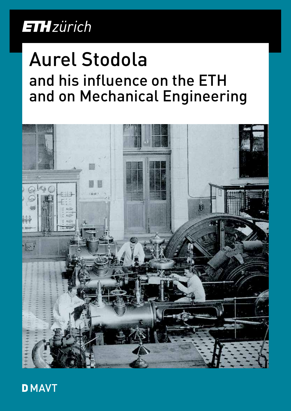## **ETH**zürich

# Aurel Stodola and his influence on the ETH and on Mechanical Engineering



**DMAVT**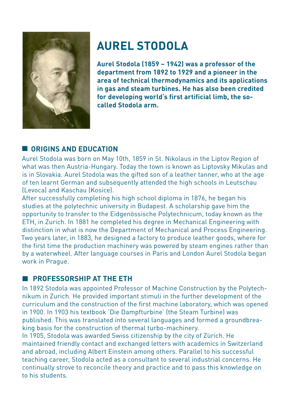

### **AUREL STODOLA**

**Aurel Stodola (1859 – 1942) was a professor of the department from 1892 to 1929 and a pioneer in the area of technical thermodynamics and its applications in gas and steam turbines. He has also been credited for developing world's first artificial limb, the socalled Stodola arm.**

#### **CORIGINS AND EDUCATION**

Aurel Stodola was born on May 10th, 1859 in St. Nikolaus in the Liptov Region of what was then Austria-Hungary. Today the town is known as Liptovsky Mikulas and is in Slovakia. Aurel Stodola was the gifted son of a leather tanner, who at the age of ten learnt German and subsequently attended the high schools in Leutschau (Levoca) and Kaschau (Kosice).

After successfully completing his high school diploma in 1876, he began his studies at the polytechnic university in Budapest. A scholarship gave him the opportunity to transfer to the Eidgenössische Polytechnicum, today known as the ETH, in Zurich. In 1881 he completed his degree in Mechanical Engineering with distinction in what is now the Department of Mechanical and Process Engineering. Two years later, in 1883, he designed a factory to produce leather goods, where for the first time the production machinery was powered by steam engines rather than by a waterwheel. After language courses in Paris and London Aurel Stodola began work in Prague.

#### **PROFESSORSHIP AT THE ETH**

In 1892 Stodola was appointed Professor of Machine Construction by the Polytechnikum in Zurich. He provided important stimuli in the further development of the curriculum and the construction of the first machine laboratory, which was opened in 1900. In 1903 his textbook 'Die Dampfturbine' (the Steam Turbine) was published. This was translated into several languages and formed a groundbreaking basis for the construction of thermal turbo-machinery.

In 1905, Stodola was awarded Swiss citizenship by the city of Zürich. He maintained friendly contact and exchanged letters with academics in Switzerland and abroad, including Albert Einstein among others. Parallel to his successful teaching career, Stodola acted as a consultant to several industrial concerns. He continually strove to reconcile theory and practice and to pass this knowledge on to his students.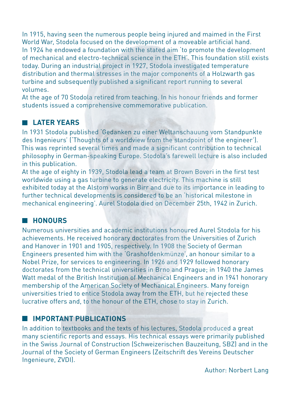In 1915, having seen the numerous people being injured and maimed in the First World War, Stodola focused on the development of a moveable artificial hand. In 1924 he endowed a foundation with the stated aim 'to promote the development of mechanical and electro-technical science in the ETH'. This foundation still exists today. During an industrial project in 1927, Stodola investigated temperature distribution and thermal stresses in the major components of a Holzwarth gas turbine and subsequently published a significant report running to several volumes.

At the age of 70 Stodola retired from teaching. In his honour friends and former students issued a comprehensive commemorative publication.

#### **LATER YEARS**

In 1931 Stodola published 'Gedanken zu einer Weltanschauung vom Standpunkte des Ingenieurs' ('Thoughts of a worldview from the standpoint of the engineer'). This was reprinted several times and made a significant contribution to technical philosophy in German-speaking Europe. Stodola's farewell lecture is also included in this publication.

At the age of eighty in 1939, Stodola lead a team at Brown Boveri in the first test worldwide using a gas turbine to generate electricity. This machine is still exhibited today at the Alstom works in Birr and due to its importance in leading to further technical developments is considered to be an 'historical milestone in mechanical engineering'. Aurel Stodola died on December 25th, 1942 in Zurich.

#### **HONOURS**

Numerous universities and academic institutions honoured Aurel Stodola for his achievements. He received honorary doctorates from the Universities of Zurich and Hanover in 1901 and 1905, respectively. In 1908 the Society of German Engineers presented him with the 'Grashofdenkmünze', an honour similar to a Nobel Prize, for services to engineering. In 1926 and 1929 followed honorary doctorates from the technical universities in Brno and Prague; in 1940 the James Watt medal of the British Institution of Mechanical Engineers and in 1941 honorary membership of the American Society of Mechanical Engineers. Many foreign universities tried to entice Stodola away from the ETH, but he rejected these lucrative offers and, to the honour of the ETH, chose to stay in Zurich.

#### **EXPLORED IMPORTANT PUBLICATIONS**

In addition to textbooks and the texts of his lectures, Stodola produced a great many scientific reports and essays. His technical essays were primarily published in the Swiss Journal of Construction (Schweizerischen Bauzeitung, SBZ) and in the Journal of the Society of German Engineers (Zeitschrift des Vereins Deutscher Ingenieure, ZVDI).